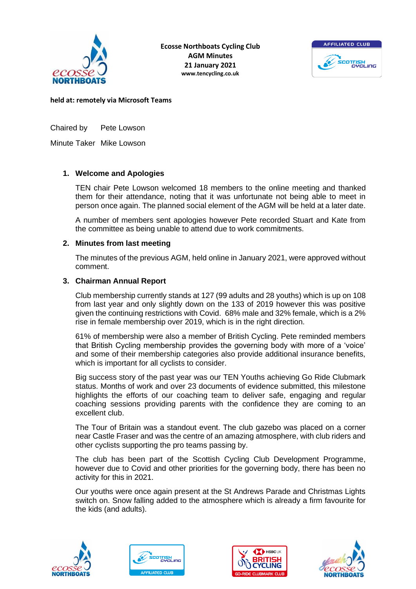



**held at: remotely via Microsoft Teams**

Chaired by Pete Lowson

Minute Taker Mike Lowson

# **1. Welcome and Apologies**

TEN chair Pete Lowson welcomed 18 members to the online meeting and thanked them for their attendance, noting that it was unfortunate not being able to meet in person once again. The planned social element of the AGM will be held at a later date.

A number of members sent apologies however Pete recorded Stuart and Kate from the committee as being unable to attend due to work commitments.

### **2. Minutes from last meeting**

The minutes of the previous AGM, held online in January 2021, were approved without comment.

### **3. Chairman Annual Report**

Club membership currently stands at 127 (99 adults and 28 youths) which is up on 108 from last year and only slightly down on the 133 of 2019 however this was positive given the continuing restrictions with Covid. 68% male and 32% female, which is a 2% rise in female membership over 2019, which is in the right direction.

61% of membership were also a member of British Cycling. Pete reminded members that British Cycling membership provides the governing body with more of a 'voice' and some of their membership categories also provide additional insurance benefits, which is important for all cyclists to consider.

Big success story of the past year was our TEN Youths achieving Go Ride Clubmark status. Months of work and over 23 documents of evidence submitted, this milestone highlights the efforts of our coaching team to deliver safe, engaging and regular coaching sessions providing parents with the confidence they are coming to an excellent club.

The Tour of Britain was a standout event. The club gazebo was placed on a corner near Castle Fraser and was the centre of an amazing atmosphere, with club riders and other cyclists supporting the pro teams passing by.

The club has been part of the Scottish Cycling Club Development Programme, however due to Covid and other priorities for the governing body, there has been no activity for this in 2021.

Our youths were once again present at the St Andrews Parade and Christmas Lights switch on. Snow falling added to the atmosphere which is already a firm favourite for the kids (and adults).







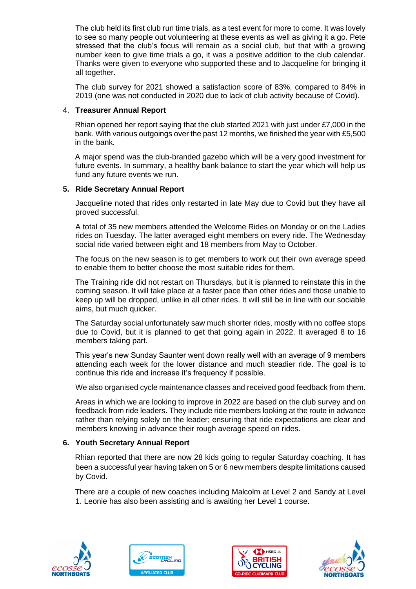The club held its first club run time trials, as a test event for more to come. It was lovely to see so many people out volunteering at these events as well as giving it a go. Pete stressed that the club's focus will remain as a social club, but that with a growing number keen to give time trials a go, it was a positive addition to the club calendar. Thanks were given to everyone who supported these and to Jacqueline for bringing it all together.

The club survey for 2021 showed a satisfaction score of 83%, compared to 84% in 2019 (one was not conducted in 2020 due to lack of club activity because of Covid).

### 4. **Treasurer Annual Report**

Rhian opened her report saying that the club started 2021 with just under £7,000 in the bank. With various outgoings over the past 12 months, we finished the year with £5,500 in the bank.

A major spend was the club-branded gazebo which will be a very good investment for future events. In summary, a healthy bank balance to start the year which will help us fund any future events we run.

# **5. Ride Secretary Annual Report**

Jacqueline noted that rides only restarted in late May due to Covid but they have all proved successful.

A total of 35 new members attended the Welcome Rides on Monday or on the Ladies rides on Tuesday. The latter averaged eight members on every ride. The Wednesday social ride varied between eight and 18 members from May to October.

The focus on the new season is to get members to work out their own average speed to enable them to better choose the most suitable rides for them.

The Training ride did not restart on Thursdays, but it is planned to reinstate this in the coming season. It will take place at a faster pace than other rides and those unable to keep up will be dropped, unlike in all other rides. It will still be in line with our sociable aims, but much quicker.

The Saturday social unfortunately saw much shorter rides, mostly with no coffee stops due to Covid, but it is planned to get that going again in 2022. It averaged 8 to 16 members taking part.

This year's new Sunday Saunter went down really well with an average of 9 members attending each week for the lower distance and much steadier ride. The goal is to continue this ride and increase it's frequency if possible.

We also organised cycle maintenance classes and received good feedback from them.

Areas in which we are looking to improve in 2022 are based on the club survey and on feedback from ride leaders. They include ride members looking at the route in advance rather than relying solely on the leader; ensuring that ride expectations are clear and members knowing in advance their rough average speed on rides.

# **6. Youth Secretary Annual Report**

Rhian reported that there are now 28 kids going to regular Saturday coaching. It has been a successful year having taken on 5 or 6 new members despite limitations caused by Covid.

There are a couple of new coaches including Malcolm at Level 2 and Sandy at Level 1. Leonie has also been assisting and is awaiting her Level 1 course.







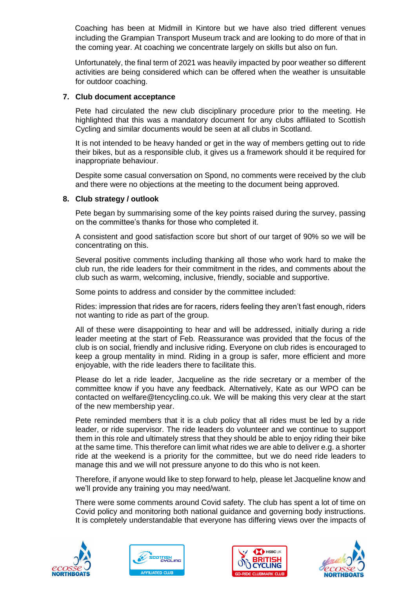Coaching has been at Midmill in Kintore but we have also tried different venues including the Grampian Transport Museum track and are looking to do more of that in the coming year. At coaching we concentrate largely on skills but also on fun.

Unfortunately, the final term of 2021 was heavily impacted by poor weather so different activities are being considered which can be offered when the weather is unsuitable for outdoor coaching.

#### **7. Club document acceptance**

Pete had circulated the new club disciplinary procedure prior to the meeting. He highlighted that this was a mandatory document for any clubs affiliated to Scottish Cycling and similar documents would be seen at all clubs in Scotland.

It is not intended to be heavy handed or get in the way of members getting out to ride their bikes, but as a responsible club, it gives us a framework should it be required for inappropriate behaviour.

Despite some casual conversation on Spond, no comments were received by the club and there were no objections at the meeting to the document being approved.

### **8. Club strategy / outlook**

Pete began by summarising some of the key points raised during the survey, passing on the committee's thanks for those who completed it.

A consistent and good satisfaction score but short of our target of 90% so we will be concentrating on this.

Several positive comments including thanking all those who work hard to make the club run, the ride leaders for their commitment in the rides, and comments about the club such as warm, welcoming, inclusive, friendly, sociable and supportive.

Some points to address and consider by the committee included:

Rides: impression that rides are for racers, riders feeling they aren't fast enough, riders not wanting to ride as part of the group.

All of these were disappointing to hear and will be addressed, initially during a ride leader meeting at the start of Feb. Reassurance was provided that the focus of the club is on social, friendly and inclusive riding. Everyone on club rides is encouraged to keep a group mentality in mind. Riding in a group is safer, more efficient and more enjoyable, with the ride leaders there to facilitate this.

Please do let a ride leader, Jacqueline as the ride secretary or a member of the committee know if you have any feedback. Alternatively, Kate as our WPO can be contacted on welfare@tencycling.co.uk. We will be making this very clear at the start of the new membership year.

Pete reminded members that it is a club policy that all rides must be led by a ride leader, or ride supervisor. The ride leaders do volunteer and we continue to support them in this role and ultimately stress that they should be able to enjoy riding their bike at the same time. This therefore can limit what rides we are able to deliver e.g. a shorter ride at the weekend is a priority for the committee, but we do need ride leaders to manage this and we will not pressure anyone to do this who is not keen.

Therefore, if anyone would like to step forward to help, please let Jacqueline know and we'll provide any training you may need/want.

There were some comments around Covid safety. The club has spent a lot of time on Covid policy and monitoring both national guidance and governing body instructions. It is completely understandable that everyone has differing views over the impacts of







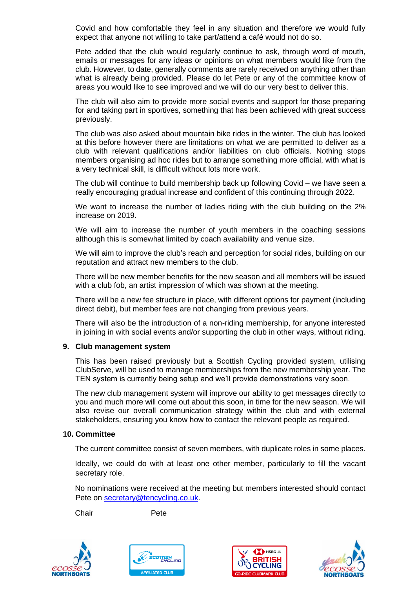Covid and how comfortable they feel in any situation and therefore we would fully expect that anyone not willing to take part/attend a café would not do so.

Pete added that the club would regularly continue to ask, through word of mouth, emails or messages for any ideas or opinions on what members would like from the club. However, to date, generally comments are rarely received on anything other than what is already being provided. Please do let Pete or any of the committee know of areas you would like to see improved and we will do our very best to deliver this.

The club will also aim to provide more social events and support for those preparing for and taking part in sportives, something that has been achieved with great success previously.

The club was also asked about mountain bike rides in the winter. The club has looked at this before however there are limitations on what we are permitted to deliver as a club with relevant qualifications and/or liabilities on club officials. Nothing stops members organising ad hoc rides but to arrange something more official, with what is a very technical skill, is difficult without lots more work.

The club will continue to build membership back up following Covid – we have seen a really encouraging gradual increase and confident of this continuing through 2022.

We want to increase the number of ladies riding with the club building on the 2% increase on 2019.

We will aim to increase the number of youth members in the coaching sessions although this is somewhat limited by coach availability and venue size.

We will aim to improve the club's reach and perception for social rides, building on our reputation and attract new members to the club.

There will be new member benefits for the new season and all members will be issued with a club fob, an artist impression of which was shown at the meeting.

There will be a new fee structure in place, with different options for payment (including direct debit), but member fees are not changing from previous years.

There will also be the introduction of a non-riding membership, for anyone interested in joining in with social events and/or supporting the club in other ways, without riding.

### **9. Club management system**

This has been raised previously but a Scottish Cycling provided system, utilising ClubServe, will be used to manage memberships from the new membership year. The TEN system is currently being setup and we'll provide demonstrations very soon.

The new club management system will improve our ability to get messages directly to you and much more will come out about this soon, in time for the new season. We will also revise our overall communication strategy within the club and with external stakeholders, ensuring you know how to contact the relevant people as required.

#### **10. Committee**

The current committee consist of seven members, with duplicate roles in some places.

Ideally, we could do with at least one other member, particularly to fill the vacant secretary role.

No nominations were received at the meeting but members interested should contact Pete on [secretary@tencycling.co.uk.](mailto:secretary@tencycling.co.uk)

Chair Pete







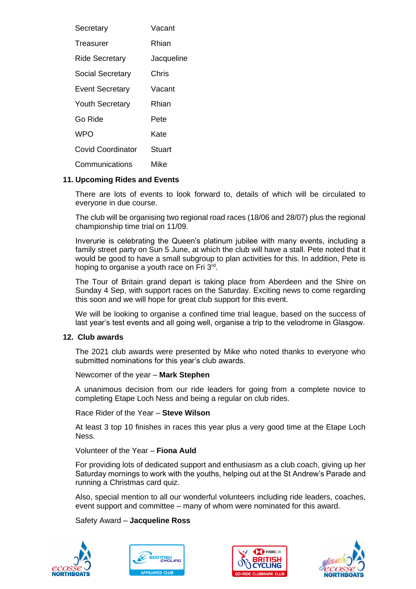| Secretary                | Vacant     |
|--------------------------|------------|
| Treasurer                | Rhian      |
| <b>Ride Secretary</b>    | Jacqueline |
| Social Secretary         | Chris      |
| <b>Event Secretary</b>   | Vacant     |
| <b>Youth Secretary</b>   | Rhian      |
| Go Ride                  | Pete       |
| <b>WPO</b>               | Kate       |
| <b>Covid Coordinator</b> | Stuart     |
| Communications           | Mike       |

### **11. Upcoming Rides and Events**

There are lots of events to look forward to, details of which will be circulated to everyone in due course.

The club will be organising two regional road races (18/06 and 28/07) plus the regional championship time trial on 11/09.

Inverurie is celebrating the Queen's platinum jubilee with many events, including a family street party on Sun 5 June, at which the club will have a stall. Pete noted that it would be good to have a small subgroup to plan activities for this. In addition, Pete is hoping to organise a youth race on Fri 3rd.

The Tour of Britain grand depart is taking place from Aberdeen and the Shire on Sunday 4 Sep, with support races on the Saturday. Exciting news to come regarding this soon and we will hope for great club support for this event.

We will be looking to organise a confined time trial league, based on the success of last year's test events and all going well, organise a trip to the velodrome in Glasgow.

### **12. Club awards**

The 2021 club awards were presented by Mike who noted thanks to everyone who submitted nominations for this year's club awards.

Newcomer of the year – **Mark Stephen**

A unanimous decision from our ride leaders for going from a complete novice to completing Etape Loch Ness and being a regular on club rides.

Race Rider of the Year – **Steve Wilson**

At least 3 top 10 finishes in races this year plus a very good time at the Etape Loch Ness.

### Volunteer of the Year – **Fiona Auld**

For providing lots of dedicated support and enthusiasm as a club coach, giving up her Saturday mornings to work with the youths, helping out at the St Andrew's Parade and running a Christmas card quiz.

Also, special mention to all our wonderful volunteers including ride leaders, coaches, event support and committee – many of whom were nominated for this award.

### Safety Award – **Jacqueline Ross**